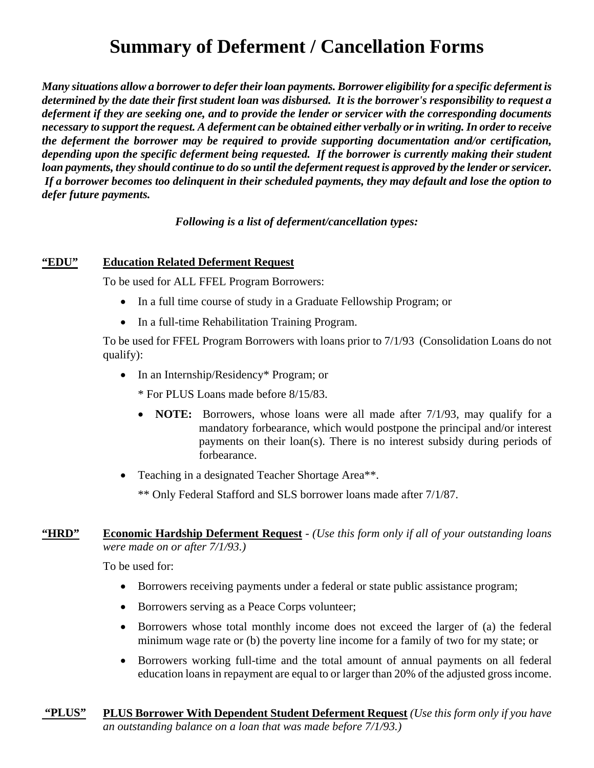# **Summary of Deferment / Cancellation Forms**

*Many situations allow a borrower to defer their loan payments. Borrower eligibility for a specific deferment is determined by the date their first student loan was disbursed. It is the borrower's responsibility to request a deferment if they are seeking one, and to provide the lender or servicer with the corresponding documents necessary to support the request. A deferment can be obtained either verbally or in writing. In order to receive the deferment the borrower may be required to provide supporting documentation and/or certification, depending upon the specific deferment being requested. If the borrower is currently making their student loan payments, they should continue to do so until the deferment request is approved by the lender or servicer. If a borrower becomes too delinquent in their scheduled payments, they may default and lose the option to defer future payments.* 

*Following is a list of deferment/cancellation types:* 

#### **"EDU" Education Related Deferment Request**

To be used for ALL FFEL Program Borrowers:

- In a full time course of study in a Graduate Fellowship Program; or
- In a full-time Rehabilitation Training Program.

To be used for FFEL Program Borrowers with loans prior to 7/1/93 (Consolidation Loans do not qualify):

• In an Internship/Residency\* Program; or

\* For PLUS Loans made before 8/15/83.

- **NOTE:** Borrowers, whose loans were all made after 7/1/93, may qualify for a mandatory forbearance, which would postpone the principal and/or interest payments on their loan(s). There is no interest subsidy during periods of forbearance.
- Teaching in a designated Teacher Shortage Area\*\*.

\*\* Only Federal Stafford and SLS borrower loans made after 7/1/87.

## **"HRD" Economic Hardship Deferment Request** - *(Use this form only if all of your outstanding loans were made on or after 7/1/93.)*

To be used for:

- Borrowers receiving payments under a federal or state public assistance program;
- Borrowers serving as a Peace Corps volunteer;
- Borrowers whose total monthly income does not exceed the larger of (a) the federal minimum wage rate or (b) the poverty line income for a family of two for my state; or
- Borrowers working full-time and the total amount of annual payments on all federal education loans in repayment are equal to or larger than 20% of the adjusted gross income.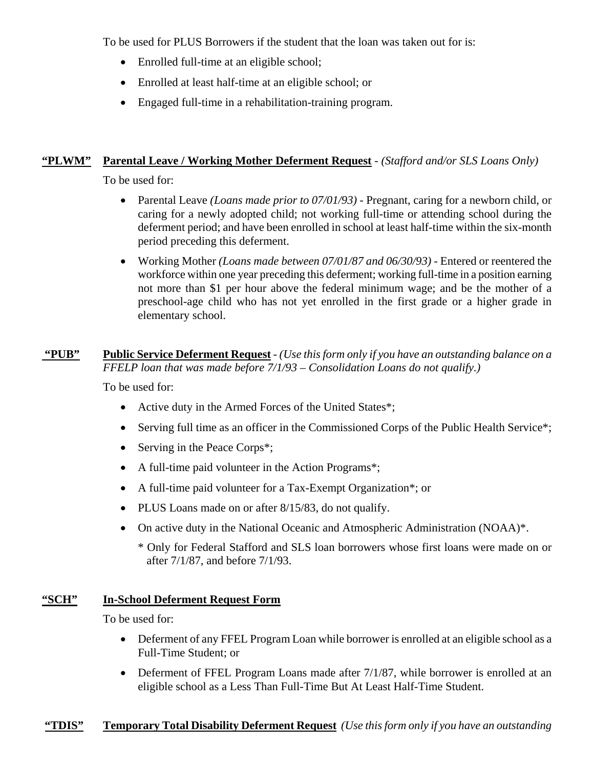To be used for PLUS Borrowers if the student that the loan was taken out for is:

- Enrolled full-time at an eligible school;
- Enrolled at least half-time at an eligible school; or
- Engaged full-time in a rehabilitation-training program.

## **"PLWM" Parental Leave / Working Mother Deferment Request** - *(Stafford and/or SLS Loans Only)*

To be used for:

- Parental Leave *(Loans made prior to 07/01/93)* Pregnant, caring for a newborn child, or caring for a newly adopted child; not working full-time or attending school during the deferment period; and have been enrolled in school at least half-time within the six-month period preceding this deferment.
- Working Mother *(Loans made between 07/01/87 and 06/30/93)* Entered or reentered the workforce within one year preceding this deferment; working full-time in a position earning not more than \$1 per hour above the federal minimum wage; and be the mother of a preschool-age child who has not yet enrolled in the first grade or a higher grade in elementary school.

## **"PUB" Public Service Deferment Request** - *(Use this form only if you have an outstanding balance on a FFELP loan that was made before 7/1/93 – Consolidation Loans do not qualify.)*

To be used for:

- Active duty in the Armed Forces of the United States\*;
- Serving full time as an officer in the Commissioned Corps of the Public Health Service<sup>\*</sup>;
- Serving in the Peace Corps<sup>\*</sup>;
- A full-time paid volunteer in the Action Programs\*;
- A full-time paid volunteer for a Tax-Exempt Organization\*; or
- PLUS Loans made on or after 8/15/83, do not qualify.
- On active duty in the National Oceanic and Atmospheric Administration (NOAA)\*.
	- \* Only for Federal Stafford and SLS loan borrowers whose first loans were made on or after 7/1/87, and before 7/1/93.

## **"SCH" In-School Deferment Request Form**

To be used for:

- Deferment of any FFEL Program Loan while borrower is enrolled at an eligible school as a Full-Time Student; or
- Deferment of FFEL Program Loans made after 7/1/87, while borrower is enrolled at an eligible school as a Less Than Full-Time But At Least Half-Time Student.

## **"TDIS" Temporary Total Disability Deferment Request** *(Use this form only if you have an outstanding*